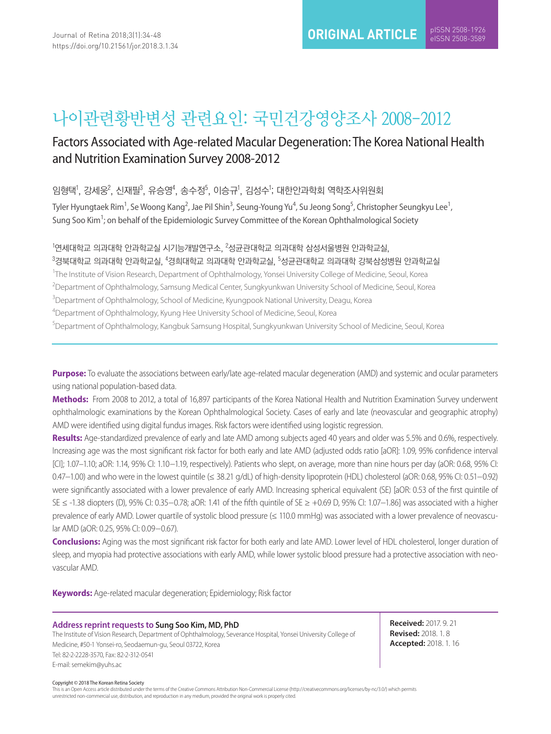# Factors Associated with Age-related Macular Degeneration: The Korea National Health and Nutrition Examination Survey 2008-2012

임형택 $^{\prime}$ , 강세웅 $^{\prime}$ , 신재필 $^{\circ}$ , 유승영 $^{\prime}$ , 송수정 $^{\circ}$ , 이승규 $^{\prime}$ , 김성수 $^{\prime}$ ; 대한안과학회 역학조사위원회

Tyler Hyungtaek Rim<sup>1</sup>, Se Woong Kang<sup>2</sup>, Jae Pil Shin<sup>3</sup>, Seung-Young Yu<sup>4</sup>, Su Jeong Song<sup>5</sup>, Christopher Seungkyu Lee<sup>1</sup>, Sung Soo Kim<sup>1</sup>; on behalf of the Epidemiologic Survey Committee of the Korean Ophthalmological Society

# $^{\rm 1}$ 연세대학교 안과학교실 시기능개발연구소,  $^{\rm 2}$ 성균관대학교 의과대학 삼성서울병원 안과학교실,  $^3$ 경북대학교 의과대학과 학교의 의과대학 안과학교실,  $^5$ 성균관대학교 의과대학 강북삼성병원 안과학교실

1 The Institute of Vision Research, Department of Ophthalmology, Yonsei University College of Medicine, Seoul, Korea

<sup>2</sup>Department of Ophthalmology, Samsung Medical Center, Sungkyunkwan University School of Medicine, Seoul, Korea

<sup>3</sup>Department of Ophthalmology, School of Medicine, Kyungpook National University, Deagu, Korea

4 Department of Ophthalmology, Kyung Hee University School of Medicine, Seoul, Korea

5 Department of Ophthalmology, Kangbuk Samsung Hospital, Sungkyunkwan University School of Medicine, Seoul, Korea

**Purpose:** To evaluate the associations between early/late age-related macular degeneration (AMD) and systemic and ocular parameters using national population-based data.

**Methods:** From 2008 to 2012, a total of 16,897 participants of the Korea National Health and Nutrition Examination Survey underwent ophthalmologic examinations by the Korean Ophthalmological Society. Cases of early and late (neovascular and geographic atrophy) AMD were identified using digital fundus images. Risk factors were identified using logistic regression.

**Results:** Age-standardized prevalence of early and late AMD among subjects aged 40 years and older was 5.5% and 0.6%, respectively. Increasing age was the most significant risk factor for both early and late AMD (adjusted odds ratio [aOR]: 1.09, 95% confidence interval [CI]; 1.07–1.10; aOR: 1.14, 95% CI: 1.10−1.19, respectively). Patients who slept, on average, more than nine hours per day (aOR: 0.68, 95% CI: 0.47−1.00) and who were in the lowest quintile (≤ 38.21 g/dL) of high-density lipoprotein (HDL) cholesterol (aOR: 0.68, 95% CI: 0.51−0.92) were significantly associated with a lower prevalence of early AMD. Increasing spherical equivalent (SE) [aOR: 0.53 of the first quintile of SE ≤ -1.38 diopters (D), 95% CI: 0.35−0.78; aOR: 1.41 of the fifth quintile of SE ≥ +0.69 D, 95% CI: 1.07−1.86] was associated with a higher prevalence of early AMD. Lower quartile of systolic blood pressure (≤ 110.0 mmHg) was associated with a lower prevalence of neovascular AMD (aOR: 0.25, 95% CI: 0.09−0.67).

**Conclusions:** Aging was the most significant risk factor for both early and late AMD. Lower level of HDL cholesterol, longer duration of sleep, and myopia had protective associations with early AMD, while lower systolic blood pressure had a protective association with neovascular AMD.

**Keywords:** Age-related macular degeneration; Epidemiology; Risk factor

### **Address reprint requests to Sung Soo Kim, MD, PhD**

The Institute of Vision Research, Department of Ophthalmology, Severance Hospital, Yonsei University College of Medicine, #50-1 Yonsei-ro, Seodaemun-gu, Seoul 03722, Korea Tel: 82-2-2228-3570, Fax: 82-2-312-0541 E-mail: semekim@yuhs.ac

**Received:** 2017. 9. 21 **Revised:** 2018. 1. 8 **Accepted:** 2018. 1. 16

#### Copyright © 2018 The Korean Retina Society

This is an Open Access article distributed under the terms of the Creative Commons Attribution Non-Commercial License (http://creativecommons.org/licenses/by-nc/3.0/) which permits unrestricted non-commercial use, distribution, and reproduction in any medium, provided the original work is properly cited.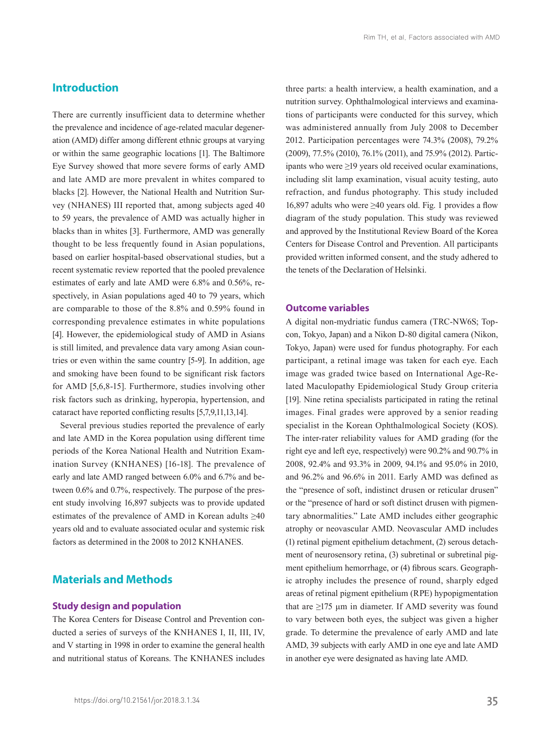### **Introduction**

There are currently insufficient data to determine whether the prevalence and incidence of age-related macular degeneration (AMD) differ among different ethnic groups at varying or within the same geographic locations [1]. The Baltimore Eye Survey showed that more severe forms of early AMD and late AMD are more prevalent in whites compared to blacks [2]. However, the National Health and Nutrition Survey (NHANES) III reported that, among subjects aged 40 to 59 years, the prevalence of AMD was actually higher in blacks than in whites [3]. Furthermore, AMD was generally thought to be less frequently found in Asian populations, based on earlier hospital-based observational studies, but a recent systematic review reported that the pooled prevalence estimates of early and late AMD were 6.8% and 0.56%, respectively, in Asian populations aged 40 to 79 years, which are comparable to those of the 8.8% and 0.59% found in corresponding prevalence estimates in white populations [4]. However, the epidemiological study of AMD in Asians is still limited, and prevalence data vary among Asian countries or even within the same country [5-9]. In addition, age and smoking have been found to be significant risk factors for AMD [5,6,8-15]. Furthermore, studies involving other risk factors such as drinking, hyperopia, hypertension, and cataract have reported conflicting results [5,7,9,11,13,14].

Several previous studies reported the prevalence of early and late AMD in the Korea population using different time periods of the Korea National Health and Nutrition Examination Survey (KNHANES) [16-18]. The prevalence of early and late AMD ranged between 6.0% and 6.7% and between 0.6% and 0.7%, respectively. The purpose of the present study involving 16,897 subjects was to provide updated estimates of the prevalence of AMD in Korean adults  $\geq 40$ years old and to evaluate associated ocular and systemic risk factors as determined in the 2008 to 2012 KNHANES.

# **Materials and Methods**

#### **Study design and population**

The Korea Centers for Disease Control and Prevention conducted a series of surveys of the KNHANES I, II, III, IV, and V starting in 1998 in order to examine the general health and nutritional status of Koreans. The KNHANES includes

three parts: a health interview, a health examination, and a nutrition survey. Ophthalmological interviews and examinations of participants were conducted for this survey, which was administered annually from July 2008 to December 2012. Participation percentages were 74.3% (2008), 79.2% (2009), 77.5% (2010), 76.1% (2011), and 75.9% (2012). Participants who were ≥19 years old received ocular examinations, including slit lamp examination, visual acuity testing, auto refraction, and fundus photography. This study included 16,897 adults who were  $\geq 40$  years old. Fig. 1 provides a flow diagram of the study population. This study was reviewed and approved by the Institutional Review Board of the Korea Centers for Disease Control and Prevention. All participants provided written informed consent, and the study adhered to the tenets of the Declaration of Helsinki.

#### **Outcome variables**

A digital non-mydriatic fundus camera (TRC-NW6S; Topcon, Tokyo, Japan) and a Nikon D-80 digital camera (Nikon, Tokyo, Japan) were used for fundus photography. For each participant, a retinal image was taken for each eye. Each image was graded twice based on International Age-Related Maculopathy Epidemiological Study Group criteria [19]. Nine retina specialists participated in rating the retinal images. Final grades were approved by a senior reading specialist in the Korean Ophthalmological Society (KOS). The inter-rater reliability values for AMD grading (for the right eye and left eye, respectively) were 90.2% and 90.7% in 2008, 92.4% and 93.3% in 2009, 94.1% and 95.0% in 2010, and 96.2% and 96.6% in 2011. Early AMD was defined as the "presence of soft, indistinct drusen or reticular drusen" or the "presence of hard or soft distinct drusen with pigmentary abnormalities." Late AMD includes either geographic atrophy or neovascular AMD. Neovascular AMD includes (1) retinal pigment epithelium detachment, (2) serous detachment of neurosensory retina, (3) subretinal or subretinal pigment epithelium hemorrhage, or (4) fibrous scars. Geographic atrophy includes the presence of round, sharply edged areas of retinal pigment epithelium (RPE) hypopigmentation that are ≥175 μm in diameter. If AMD severity was found to vary between both eyes, the subject was given a higher grade. To determine the prevalence of early AMD and late AMD, 39 subjects with early AMD in one eye and late AMD in another eye were designated as having late AMD.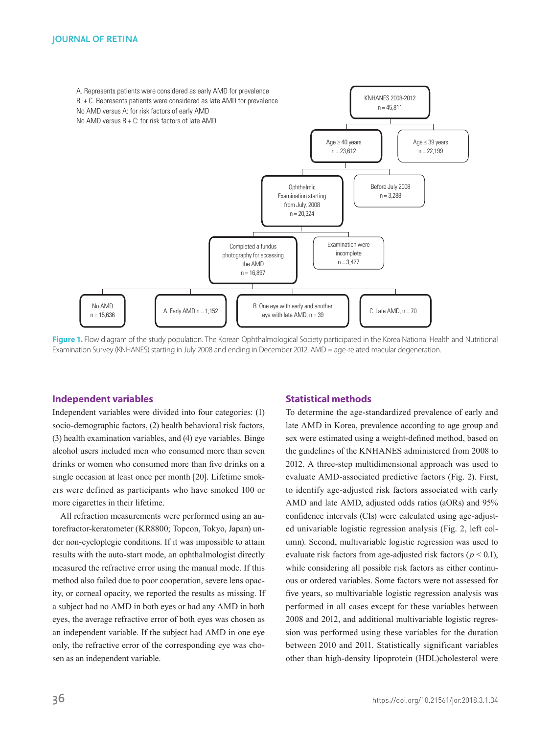

**Figure 1.** Flow diagram of the study population. The Korean Ophthalmological Society participated in the Korea National Health and Nutritional Examination Survey (KNHANES) starting in July 2008 and ending in December 2012. AMD = age-related macular degeneration.

#### **Independent variables**

Independent variables were divided into four categories: (1) socio-demographic factors, (2) health behavioral risk factors, (3) health examination variables, and (4) eye variables. Binge alcohol users included men who consumed more than seven drinks or women who consumed more than five drinks on a single occasion at least once per month [20]. Lifetime smokers were defined as participants who have smoked 100 or more cigarettes in their lifetime.

All refraction measurements were performed using an autorefractor-keratometer (KR8800; Topcon, Tokyo, Japan) under non-cycloplegic conditions. If it was impossible to attain results with the auto-start mode, an ophthalmologist directly measured the refractive error using the manual mode. If this method also failed due to poor cooperation, severe lens opacity, or corneal opacity, we reported the results as missing. If a subject had no AMD in both eyes or had any AMD in both eyes, the average refractive error of both eyes was chosen as an independent variable. If the subject had AMD in one eye only, the refractive error of the corresponding eye was chosen as an independent variable.

#### **Statistical methods**

To determine the age-standardized prevalence of early and late AMD in Korea, prevalence according to age group and sex were estimated using a weight-defined method, based on the guidelines of the KNHANES administered from 2008 to 2012. A three-step multidimensional approach was used to evaluate AMD-associated predictive factors (Fig. 2). First, to identify age-adjusted risk factors associated with early AMD and late AMD, adjusted odds ratios (aORs) and 95% confidence intervals (CIs) were calculated using age-adjusted univariable logistic regression analysis (Fig. 2, left column). Second, multivariable logistic regression was used to evaluate risk factors from age-adjusted risk factors (*p* < 0.1), while considering all possible risk factors as either continuous or ordered variables. Some factors were not assessed for five years, so multivariable logistic regression analysis was performed in all cases except for these variables between 2008 and 2012, and additional multivariable logistic regression was performed using these variables for the duration between 2010 and 2011. Statistically significant variables other than high-density lipoprotein (HDL)cholesterol were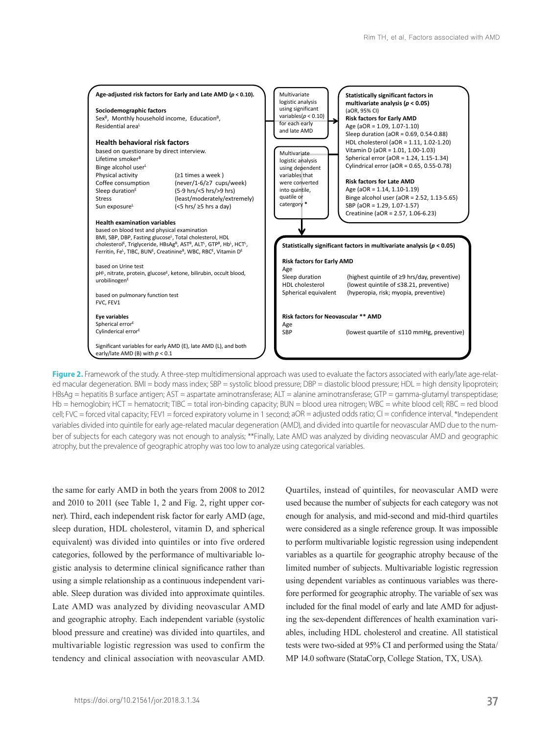

Figure 2. Framework of the study. A three-step multidimensional approach was used to evaluate the factors associated with early/late age-related macular degeneration. BMI = body mass index; SBP = systolic blood pressure; DBP = diastolic blood pressure; HDL = high density lipoprotein; HBsAg = hepatitis B surface antigen; AST = aspartate aminotransferase; ALT = alanine aminotransferase; GTP = gamma-glutamyl transpeptidase; Hb = hemoglobin; HCT = hematocrit; TIBC = total iron-binding capacity; BUN = blood urea nitrogen; WBC = white blood cell; RBC = red blood cell; FVC = forced vital capacity; FEV1 = forced expiratory volume in 1 second; aOR = adjusted odds ratio; CI = confidence interval. \*Independent variables divided into quintile for early age-related macular degeneration (AMD), and divided into quartile for neovascular AMD due to the number of subjects for each category was not enough to analysis; \*\*Finally, Late AMD was analyzed by dividing neovascular AMD and geographic atrophy, but the prevalence of geographic atrophy was too low to analyze using categorical variables.

the same for early AMD in both the years from 2008 to 2012 and 2010 to 2011 (see Table 1, 2 and Fig. 2, right upper corner). Third, each independent risk factor for early AMD (age, sleep duration, HDL cholesterol, vitamin D, and spherical equivalent) was divided into quintiles or into five ordered categories, followed by the performance of multivariable logistic analysis to determine clinical significance rather than using a simple relationship as a continuous independent variable. Sleep duration was divided into approximate quintiles. Late AMD was analyzed by dividing neovascular AMD and geographic atrophy. Each independent variable (systolic blood pressure and creatine) was divided into quartiles, and multivariable logistic regression was used to confirm the tendency and clinical association with neovascular AMD. Quartiles, instead of quintiles, for neovascular AMD were used because the number of subjects for each category was not enough for analysis, and mid-second and mid-third quartiles were considered as a single reference group. It was impossible to perform multivariable logistic regression using independent variables as a quartile for geographic atrophy because of the limited number of subjects. Multivariable logistic regression using dependent variables as continuous variables was therefore performed for geographic atrophy. The variable of sex was included for the final model of early and late AMD for adjusting the sex-dependent differences of health examination variables, including HDL cholesterol and creatine. All statistical tests were two-sided at 95% CI and performed using the Stata/ MP 14.0 software (StataCorp, College Station, TX, USA).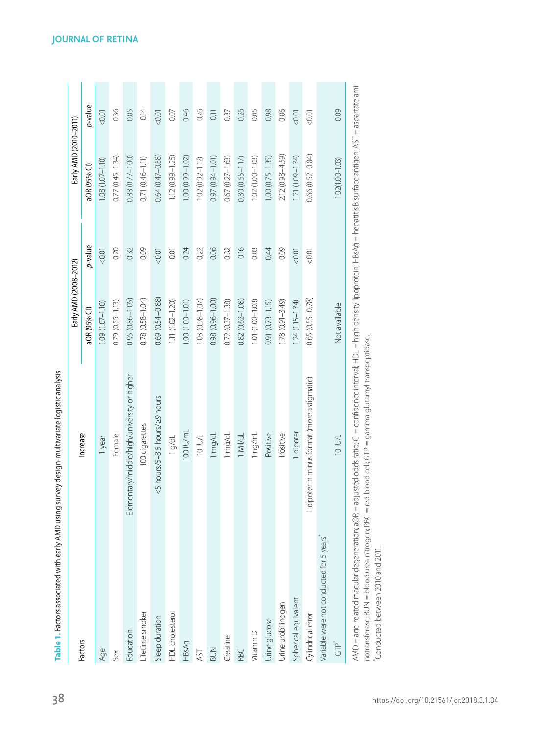|                                         |                                                                                                                   | Early AMD (2008-2012) |         | Early AMD (2010-2011) |               |
|-----------------------------------------|-------------------------------------------------------------------------------------------------------------------|-----------------------|---------|-----------------------|---------------|
| <b>Factors</b>                          | Increase                                                                                                          | aOR (95% CI)          | p-value | aOR (95% CI)          | p-value       |
| Age                                     | 1 year                                                                                                            | 1.09 (1.07-1.10)      | 0.01    | $1.08(1.07 - 1.10)$   | 0.01          |
| Sex                                     | Female                                                                                                            | $0.79(0.55 - 1.13)$   | 0.20    | $0.77(0.45 - 1.34)$   | 0.36          |
| Education                               | Elementary/middle/high/university or higher                                                                       | $0.95(0.86 - 1.05)$   | 0.32    | $0.88(0.77-1.00)$     | 0.05          |
| Lifetime smoker                         | 100 cigarettes                                                                                                    | $0.78(0.58 - 1.04)$   | 0.09    | $0.71(0.46 - 1.11)$   | 0.14          |
| Sleep duration                          | <5 hours/5-8.5 hours/29 hours                                                                                     | $0.69(0.54 - 0.88)$   | 0.01    | $0.64(0.47 - 0.88)$   | 0.01          |
| HDL cholesterol                         | 1 g/dL                                                                                                            | 1.11 (1.02-1.20)      | 0.01    | $1.12(0.99 - 1.25)$   | 0.07          |
| HBsAg                                   | 100 IU/mL                                                                                                         | $1.00(1.00 - 1.01)$   | 0.24    | 1.00 (0.99-1.02)      | 0.46          |
| AST                                     | <b>10 IU/L</b>                                                                                                    | 1.03 (0.98-1.07)      | 0.22    | $1.02(0.92 - 1.12)$   | 0.76          |
| <b>NUR</b>                              | 1 mg/dL                                                                                                           | $0.98(0.96 - 1.00)$   | 0.06    | 0.97 (0.94-1.01)      | 0.11          |
| Creatine                                | 1 mg/dL                                                                                                           | $0.72(0.37 - 1.38)$   | 0.32    | $0.67(0.27 - 1.63)$   | 0.37          |
| RBC                                     | 1 Mil/µL                                                                                                          | $0.82(0.62 - 1.08)$   | 0.16    | $0.80(0.55 - 1.17)$   | 0.26          |
| Vitamin D                               | 1 ng/mL                                                                                                           | $1.01(1.00 - 1.03)$   | 0.03    | $1.02(1.00 - 1.03)$   | 0.05          |
| Urine glucose                           | Positive                                                                                                          | $0.91(0.73 - 1.15)$   | 0.44    | $1.00(0.75 - 1.35)$   | 0.98          |
| Urine urobilinogen                      | Positive                                                                                                          | $1.78(0.91 - 3.49)$   | 0.09    | $2.12(0.98 - 4.59)$   | 0.06          |
| Spherical equivalent                    | 1 dipoter                                                                                                         | $1.24(1.15 - 1.34)$   | 0.01    | 1.21 (1.09-1.34)      | 0.01          |
| Cylindrical error                       | 1 dipoter in minus format (more astigmatic)                                                                       | $0.65(0.55 - 0.78)$   | 0.01    | $0.66(0.52 - 0.84)$   | 0.01          |
| Variable were not conducted for 5 years |                                                                                                                   |                       |         |                       |               |
| $\overline{G}$                          | <b>10 IU/L</b>                                                                                                    | Not available         |         | $1.02(1.00 - 1.03)$   | 0.09          |
|                                         | コンティンディング こうしょう スインディング こうしょう こうしょう こうしょう こうしょう こうしょう こうしょう こうしょう こうしょう こうしょう こうしょう こうしょう こうしょう こうしょう こうしょう こうしょう |                       |         |                       | ------------- |

Table 1. Factors associated with early AMD using survey design-multivariate logistic analysis **Table 1.** Factors associated with early AMD using survey design-multivariate logistic analysis

AMD = age-related macular degeneration; aOR = adjusted odds ratio; CI = confidence interval; HDL = high density lipoprotein; HBsAg = hepatitis B surface antigen; AST = aspartate ami-AMD = age-related macular degeneration; aOR = adjusted odds ratio; CI = condence interval; HDL = high density lipoprotein; HBsAg = hepatitis B surface antigen; AST = aspartate aminotransferase; BUN = blood urea nitrogen; RBC = red blood cell; GTP = gamma-glutamyl transpeptidase. notransferase; BUN = blood urea nitrogen; RBC = red blood cell; GTP = gamma-glutamyl transpeptidase. "Conducted between 2010 and 2011. \*Conducted between 2010 and 2011.

# **JOURNAL OF RETINA**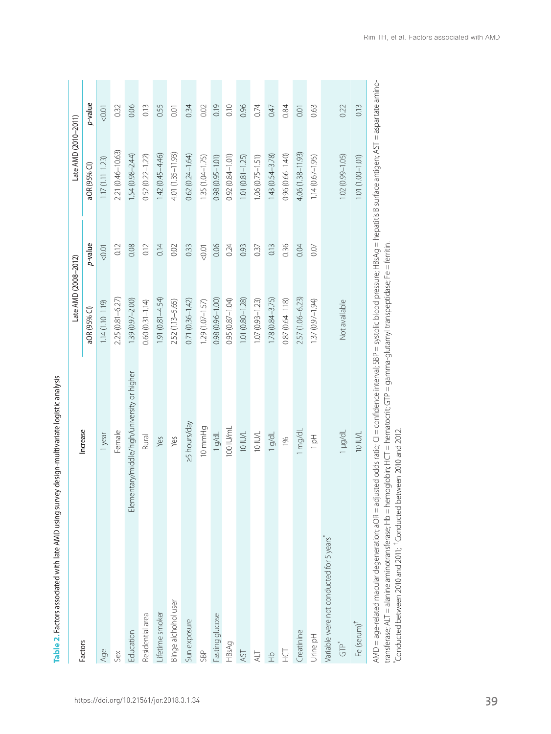|                                          |                                                                                                                                                                                         | Late AMD (2008-2012) |         | Late AMD (2010-2011) |                  |
|------------------------------------------|-----------------------------------------------------------------------------------------------------------------------------------------------------------------------------------------|----------------------|---------|----------------------|------------------|
| Factors                                  | Increase                                                                                                                                                                                | aOR (95% Cl)         | p-value | aOR (95% CI)         | p-value          |
| Age                                      | 1 year                                                                                                                                                                                  | $1.14(1.10 - 1.19)$  | 0.01    | $1.17(1.11 - 1.23)$  | 0.01             |
| Sex                                      | Female                                                                                                                                                                                  | $2.25(0.81 - 6.27)$  | 0.12    | 2.21 (0.46-10.63)    | 0.32             |
| Education                                | Elementary/middle/high/university or higher                                                                                                                                             | 1.39 (0.97-2.00)     | 0.08    | $1.54(0.98 - 2.44)$  | 0.06             |
| Residential area                         | Rural                                                                                                                                                                                   | $0.60(0.31 - 1.14)$  | 0.12    | $0.52(0.22 - 1.22)$  | 0.13             |
| Lifetime smoker                          | Yes                                                                                                                                                                                     | $1.91(0.81 - 4.54)$  | 0.14    | $1.42(0.45 - 4.46)$  | 0.55             |
| Binge alchohol user                      | Yes                                                                                                                                                                                     | 2.52 (1.13-5.65)     | 0.02    | 4.01 (1.35-11.93)    | $\overline{0}$ . |
| Sun exposure                             | >5 hours/day                                                                                                                                                                            | $0.71(0.36 - 1.42)$  | 0.33    | $0.62(0.24 - 1.64)$  | 0.34             |
| SBP                                      | 10 mmHg                                                                                                                                                                                 | $1.29(1.07 - 1.57)$  | $-0.01$ | $1.35(1.04 - 1.75)$  | 0.02             |
| Fasting glucose                          | 1 g/dL                                                                                                                                                                                  | $0.98(0.96 - 1.00)$  | 0.06    | $0.98(0.95 - 1.01)$  | 0.19             |
| HBsAg                                    | 100 IU/mL                                                                                                                                                                               | $0.95(0.87 - 1.04)$  | 0.24    | $0.92(0.84 - 1.01)$  | 0.10             |
| AST                                      | $10$ IU/L                                                                                                                                                                               | 1.01 (0.80-1.28)     | 0.93    | $1.01(0.81 - 1.25)$  | 0.96             |
| $\overline{\preceq}$                     | $10$ IU/L                                                                                                                                                                               | $1.07(0.93 - 1.23)$  | 0.37    | $1.06(0.75 - 1.51)$  | 0.74             |
| $\frac{\mathsf{O}}{\mathsf{L}}$          | 1 g/dL                                                                                                                                                                                  | $1.78(0.84 - 3.75)$  | 0.13    | $1.43(0.54 - 3.78)$  | 0.47             |
| 도<br>노                                   | 1%                                                                                                                                                                                      | $0.87(0.64 - 1.18)$  | 0.36    | $0.96(0.66 - 1.40)$  | 0.84             |
| Creatinine                               | 1 mg/dl                                                                                                                                                                                 | 2.57 (1.06-6.23)     | 0.04    | 4.06 (1.38-11.93)    | 0.01             |
| Urine pH                                 | $\frac{1}{2}$                                                                                                                                                                           | 1.37 (0.97-1.94)     | 0.07    | $1.14(0.67 - 1.95)$  | 0.63             |
| Variable were not conducted for 5 years* |                                                                                                                                                                                         |                      |         |                      |                  |
| 。<br>「U                                  | $1 \mu g/dL$                                                                                                                                                                            | Not available        |         | $1.02(0.99 - 1.05)$  | 0.22             |
| Fe (serum) <sup>†</sup>                  | <b>10 IU/L</b>                                                                                                                                                                          |                      |         | 1.01 (1.00-1.01)     | 0.13             |
|                                          | AMD = age-related macular degeneration; aOR = adjusted odds ratio; Cl = confidence interval; SBP = systolic blood pressure; HBsAq = hepatitis B surface antigen; AST = aspartate amino- |                      |         |                      |                  |

Table 2. Factors associated with late AMD using survey design-multivariate logistic analysis **Table 2.** Factors associated with late AMD using survey design-multivariate logistic analysis

Ĺ rww.c – age i crace inacuar ocgenicion, aon – aujouce ocosi iardy en componentie increa, or – ayaone probabili<br>transferase; ALT = alanine aminotransferase; Hb = hemoglobin; HCT = hematocrit; GTP = gamma-glutamyl transpept transferase; ALT = alanine aminotransferase; Hb = hemoglobin; HCT = hematocrit; GTP = gamma-glutamyl transpeptidase; Fe = ferritin. \*Conducted between 2010 and 2011; †Conducted between 2010 and 2012.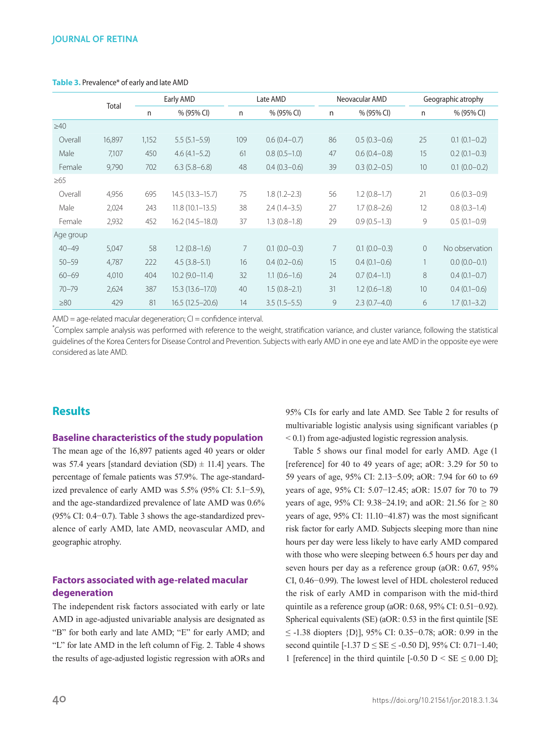|           |        |              | Early AMD           |     | Late AMD         |    | Neovacular AMD   |          | Geographic atrophy |  |
|-----------|--------|--------------|---------------------|-----|------------------|----|------------------|----------|--------------------|--|
|           | Total  | $\mathsf{n}$ | % (95% CI)          | n   | % (95% CI)       | n. | % (95% CI)       | n        | % (95% CI)         |  |
| $\geq 40$ |        |              |                     |     |                  |    |                  |          |                    |  |
| Overall   | 16,897 | 1,152        | $5.5(5.1 - 5.9)$    | 109 | $0.6(0.4-0.7)$   | 86 | $0.5(0.3-0.6)$   | 25       | $0.1(0.1-0.2)$     |  |
| Male      | 7,107  | 450          | $4.6(4.1-5.2)$      | 61  | $0.8(0.5-1.0)$   | 47 | $0.6(0.4 - 0.8)$ | 15       | $0.2(0.1-0.3)$     |  |
| Female    | 9,790  | 702          | $6.3(5.8-6.8)$      | 48  | $0.4(0.3-0.6)$   | 39 | $0.3(0.2 - 0.5)$ | 10       | $0.1(0.0-0.2)$     |  |
| $\geq 65$ |        |              |                     |     |                  |    |                  |          |                    |  |
| Overall   | 4,956  | 695          | $14.5(13.3-15.7)$   | 75  | $1.8(1.2 - 2.3)$ | 56 | $1.2(0.8-1.7)$   | 21       | $0.6(0.3-0.9)$     |  |
| Male      | 2,024  | 243          | $11.8(10.1 - 13.5)$ | 38  | $2.4(1.4-3.5)$   | 27 | $1.7(0.8-2.6)$   | 12       | $0.8(0.3-1.4)$     |  |
| Female    | 2,932  | 452          | $16.2(14.5-18.0)$   | 37  | $1.3(0.8-1.8)$   | 29 | $0.9(0.5-1.3)$   | 9        | $0.5(0.1-0.9)$     |  |
| Age group |        |              |                     |     |                  |    |                  |          |                    |  |
| $40 - 49$ | 5,047  | 58           | $1.2(0.8-1.6)$      | 7   | $0.1(0.0-0.3)$   | 7  | $0.1(0.0-0.3)$   | $\theta$ | No observation     |  |
| $50 - 59$ | 4,787  | 222          | $4.5(3.8-5.1)$      | 16  | $0.4(0.2-0.6)$   | 15 | $0.4(0.1-0.6)$   | 1        | $0.0(0.0-0.1)$     |  |
| $60 - 69$ | 4,010  | 404          | $10.2(9.0-11.4)$    | 32  | $1.1(0.6-1.6)$   | 24 | $0.7(0.4-1.1)$   | 8        | $0.4(0.1-0.7)$     |  |
| $70 - 79$ | 2,624  | 387          | $15.3(13.6 - 17.0)$ | 40  | $1.5(0.8-2.1)$   | 31 | $1.2(0.6-1.8)$   | 10       | $0.4(0.1-0.6)$     |  |
| $\geq 80$ | 429    | 81           | $16.5(12.5-20.6)$   | 14  | $3.5(1.5-5.5)$   | 9  | $2.3(0.7-4.0)$   | 6        | $1.7(0.1 - 3.2)$   |  |

#### **Table 3.** Prevalence\* of early and late AMD

 $AMD = age-related macular degeneration; Cl = confidence interval.$ 

\* Complex sample analysis was performed with reference to the weight, stratication variance, and cluster variance, following the statistical guidelines of the Korea Centers for Disease Control and Prevention. Subjects with early AMD in one eye and late AMD in the opposite eye were considered as late AMD.

# **Results**

#### **Baseline characteristics of the study population**

The mean age of the 16,897 patients aged 40 years or older was 57.4 years [standard deviation (SD)  $\pm$  11.4] years. The percentage of female patients was 57.9%. The age-standardized prevalence of early AMD was 5.5% (95% CI: 5.1−5.9), and the age-standardized prevalence of late AMD was 0.6% (95% CI: 0.4−0.7). Table 3 shows the age-standardized prevalence of early AMD, late AMD, neovascular AMD, and geographic atrophy.

### **Factors associated with age-related macular degeneration**

The independent risk factors associated with early or late AMD in age-adjusted univariable analysis are designated as "B" for both early and late AMD; "E" for early AMD; and "L" for late AMD in the left column of Fig. 2. Table 4 shows the results of age-adjusted logistic regression with aORs and

95% CIs for early and late AMD. See Table 2 for results of multivariable logistic analysis using significant variables (p < 0.1) from age-adjusted logistic regression analysis.

Table 5 shows our final model for early AMD. Age (1 [reference] for 40 to 49 years of age; aOR: 3.29 for 50 to 59 years of age, 95% CI: 2.13−5.09; aOR: 7.94 for 60 to 69 years of age, 95% CI: 5.07−12.45; aOR: 15.07 for 70 to 79 years of age, 95% CI: 9.38−24.19; and aOR: 21.56 for ≥ 80 years of age, 95% CI: 11.10−41.87) was the most significant risk factor for early AMD. Subjects sleeping more than nine hours per day were less likely to have early AMD compared with those who were sleeping between 6.5 hours per day and seven hours per day as a reference group (aOR: 0.67, 95% CI, 0.46−0.99). The lowest level of HDL cholesterol reduced the risk of early AMD in comparison with the mid-third quintile as a reference group (aOR: 0.68, 95% CI: 0.51−0.92). Spherical equivalents (SE) (aOR: 0.53 in the first quintile [SE ≤ -1.38 diopters {D}], 95% CI: 0.35−0.78; aOR: 0.99 in the second quintile [-1.37 D ≤ SE ≤ -0.50 D], 95% CI: 0.71–1.40; 1 [reference] in the third quintile  $[-0.50 \text{ D} < SE \leq 0.00 \text{ D}]$ ;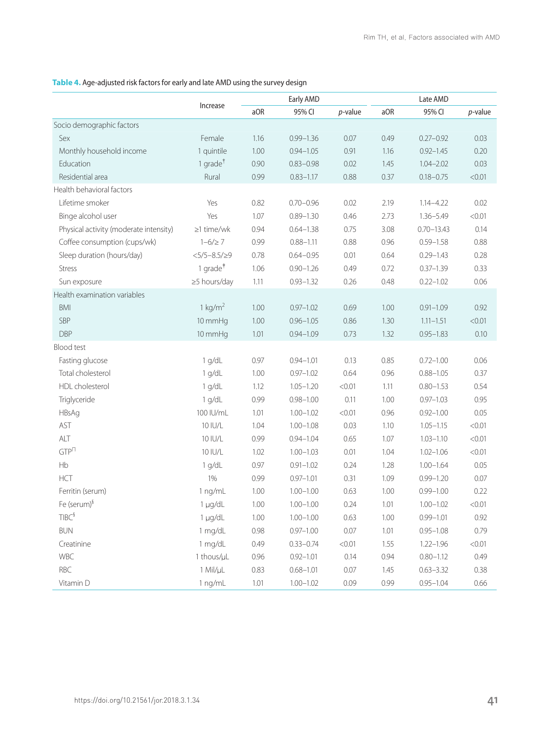# **Table 4.** Age-adjusted risk factors for early and late AMD using the survey design

|                                        |                          |      | Early AMD     |            |      | Late AMD       |            |
|----------------------------------------|--------------------------|------|---------------|------------|------|----------------|------------|
|                                        | Increase                 | aOR  | 95% CI        | $p$ -value | aOR  | 95% CI         | $p$ -value |
| Socio demographic factors              |                          |      |               |            |      |                |            |
| Sex                                    | Female                   | 1.16 | $0.99 - 1.36$ | 0.07       | 0.49 | $0.27 - 0.92$  | 0.03       |
| Monthly household income               | 1 quintile               | 1.00 | $0.94 - 1.05$ | 0.91       | 1.16 | $0.92 - 1.45$  | 0.20       |
| Education                              | 1 grade $†$              | 0.90 | $0.83 - 0.98$ | 0.02       | 1.45 | $1.04 - 2.02$  | 0.03       |
| Residential area                       | Rural                    | 0.99 | $0.83 - 1.17$ | 0.88       | 0.37 | $0.18 - 0.75$  | < 0.01     |
| Health behavioral factors              |                          |      |               |            |      |                |            |
| Lifetime smoker                        | Yes                      | 0.82 | $0.70 - 0.96$ | 0.02       | 2.19 | $1.14 - 4.22$  | 0.02       |
| Binge alcohol user                     | Yes                      | 1.07 | $0.89 - 1.30$ | 0.46       | 2.73 | $1.36 - 5.49$  | < 0.01     |
| Physical activity (moderate intensity) | ≥1 time/wk               | 0.94 | $0.64 - 1.38$ | 0.75       | 3.08 | $0.70 - 13.43$ | 0.14       |
| Coffee consumption (cups/wk)           | $1 - 6 / \ge 7$          | 0.99 | $0.88 - 1.11$ | 0.88       | 0.96 | $0.59 - 1.58$  | 0.88       |
| Sleep duration (hours/day)             | $<\frac{5}{5}-8.5/\geq9$ | 0.78 | $0.64 - 0.95$ | 0.01       | 0.64 | $0.29 - 1.43$  | 0.28       |
| <b>Stress</b>                          | 1 grade $*$              | 1.06 | $0.90 - 1.26$ | 0.49       | 0.72 | $0.37 - 1.39$  | 0.33       |
| Sun exposure                           | $\geq$ 5 hours/day       | 1.11 | $0.93 - 1.32$ | 0.26       | 0.48 | $0.22 - 1.02$  | 0.06       |
| Health examination variables           |                          |      |               |            |      |                |            |
| <b>BMI</b>                             | 1 kg/m <sup>2</sup>      | 1.00 | $0.97 - 1.02$ | 0.69       | 1.00 | $0.91 - 1.09$  | 0.92       |
| SBP                                    | 10 mmHg                  | 1.00 | $0.96 - 1.05$ | 0.86       | 1.30 | $1.11 - 1.51$  | < 0.01     |
| <b>DBP</b>                             | 10 mmHg                  | 1.01 | $0.94 - 1.09$ | 0.73       | 1.32 | $0.95 - 1.83$  | 0.10       |
| Blood test                             |                          |      |               |            |      |                |            |
| Fasting glucose                        | 1 g/dL                   | 0.97 | $0.94 - 1.01$ | 0.13       | 0.85 | $0.72 - 1.00$  | 0.06       |
| Total cholesterol                      | 1 g/dL                   | 1.00 | $0.97 - 1.02$ | 0.64       | 0.96 | $0.88 - 1.05$  | 0.37       |
| HDL cholesterol                        | 1 g/dL                   | 1.12 | $1.05 - 1.20$ | < 0.01     | 1.11 | $0.80 - 1.53$  | 0.54       |
| Triglyceride                           | 1 g/dL                   | 0.99 | $0.98 - 1.00$ | 0.11       | 1.00 | $0.97 - 1.03$  | 0.95       |
| HBsAg                                  | 100 IU/mL                | 1.01 | $1.00 - 1.02$ | < 0.01     | 0.96 | $0.92 - 1.00$  | 0.05       |
| AST                                    | 10 IU/L                  | 1.04 | $1.00 - 1.08$ | 0.03       | 1.10 | $1.05 - 1.15$  | < 0.01     |
| ALT                                    | 10 IU/L                  | 0.99 | $0.94 - 1.04$ | 0.65       | 1.07 | $1.03 - 1.10$  | < 0.01     |
| $GTP^{\Pi}$                            | 10 IU/L                  | 1.02 | $1.00 - 1.03$ | 0.01       | 1.04 | $1.02 - 1.06$  | < 0.01     |
| Hb                                     | 1 g/dL                   | 0.97 | $0.91 - 1.02$ | 0.24       | 1.28 | $1.00 - 1.64$  | 0.05       |
| HCT                                    | 1%                       | 0.99 | $0.97 - 1.01$ | 0.31       | 1.09 | $0.99 - 1.20$  | 0.07       |
| Ferritin (serum)                       | 1 ng/mL                  | 1.00 | $1.00 - 1.00$ | 0.63       | 1.00 | $0.99 - 1.00$  | 0.22       |
| Fe (serum) <sup>§</sup>                | 1 µg/dL                  | 1.00 | $1.00 - 1.00$ | 0.24       | 1.01 | $1.00 - 1.02$  | < 0.01     |
| TIBC <sup>§</sup>                      | 1 µg/dL                  | 1.00 | $1.00 - 1.00$ | 0.63       | 1.00 | $0.99 - 1.01$  | 0.92       |
| <b>BUN</b>                             | 1 mg/dL                  | 0.98 | $0.97 - 1.00$ | 0.07       | 1.01 | $0.95 - 1.08$  | 0.79       |
| Creatinine                             | 1 mg/dL                  | 0.49 | $0.33 - 0.74$ | < 0.01     | 1.55 | $1.22 - 1.96$  | < 0.01     |
| WBC                                    | 1 thous/µL               | 0.96 | $0.92 - 1.01$ | 0.14       | 0.94 | $0.80 - 1.12$  | 0.49       |
| RBC                                    | 1 Mil/µL                 | 0.83 | $0.68 - 1.01$ | 0.07       | 1.45 | $0.63 - 3.32$  | 0.38       |
| Vitamin D                              | 1 ng/mL                  | 1.01 | $1.00 - 1.02$ | 0.09       | 0.99 | $0.95 - 1.04$  | 0.66       |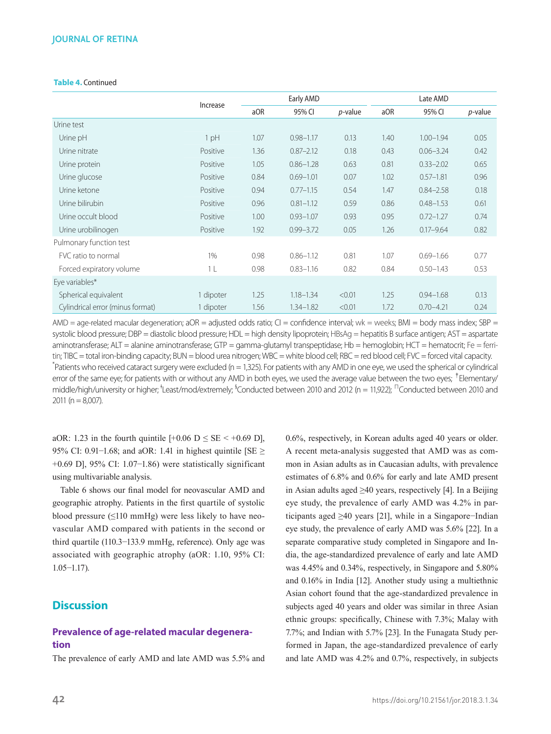#### **Table 4.** Continued

|                                  |                |      | Early AMD     |                 |      | Late AMD      |                 |
|----------------------------------|----------------|------|---------------|-----------------|------|---------------|-----------------|
|                                  | Increase       | aOR  | 95% CI        | <i>p</i> -value | aOR  | 95% CI        | <i>p</i> -value |
| Urine test                       |                |      |               |                 |      |               |                 |
| Urine pH                         | 1 pH           | 1.07 | $0.98 - 1.17$ | 0.13            | 1.40 | $1.00 - 1.94$ | 0.05            |
| Urine nitrate                    | Positive       | 1.36 | $0.87 - 2.12$ | 0.18            | 0.43 | $0.06 - 3.24$ | 0.42            |
| Urine protein                    | Positive       | 1.05 | $0.86 - 1.28$ | 0.63            | 0.81 | $0.33 - 2.02$ | 0.65            |
| Urine glucose                    | Positive       | 0.84 | $0.69 - 1.01$ | 0.07            | 1.02 | $0.57 - 1.81$ | 0.96            |
| Urine ketone                     | Positive       | 0.94 | $0.77 - 1.15$ | 0.54            | 1.47 | $0.84 - 2.58$ | 0.18            |
| Urine bilirubin                  | Positive       | 0.96 | $0.81 - 1.12$ | 0.59            | 0.86 | $0.48 - 1.53$ | 0.61            |
| Urine occult blood               | Positive       | 1.00 | $0.93 - 1.07$ | 0.93            | 0.95 | $0.72 - 1.27$ | 0.74            |
| Urine urobilinogen               | Positive       | 1.92 | $0.99 - 3.72$ | 0.05            | 1.26 | $0.17 - 9.64$ | 0.82            |
| Pulmonary function test          |                |      |               |                 |      |               |                 |
| FVC ratio to normal              | 1%             | 0.98 | $0.86 - 1.12$ | 0.81            | 1.07 | $0.69 - 1.66$ | 0.77            |
| Forced expiratory volume         | 1 <sub>L</sub> | 0.98 | $0.83 - 1.16$ | 0.82            | 0.84 | $0.50 - 1.43$ | 0.53            |
| Eye variables*                   |                |      |               |                 |      |               |                 |
| Spherical equivalent             | dipoter        | 1.25 | $1.18 - 1.34$ | < 0.01          | 1.25 | $0.94 - 1.68$ | 0.13            |
| Cylindrical error (minus format) | dipoter        | 1.56 | $1.34 - 1.82$ | < 0.01          | 1.72 | $0.70 - 4.21$ | 0.24            |

 $AMD = age-related macular deceneration; aOR = adjusted to adds ratio; Cl = confidence interval; wk = weeks; BMI = body mass index; SBP = 0.001288; and 0.012488; and 0.024488; and 0.034488; respectively.$ systolic blood pressure; DBP = diastolic blood pressure; HDL = high density lipoprotein; HBsAg = hepatitis B surface antigen; AST = aspartate aminotransferase; ALT = alanine aminotransferase; GTP = gamma-glutamyl transpeptidase; Hb = hemoglobin; HCT = hematocrit; Fe = ferritin; TIBC = total iron-binding capacity; BUN = blood urea nitrogen; WBC = white blood cell; RBC = red blood cell; FVC = forced vital capacity. \* Patients who received cataract surgery were excluded (n = 1,325). For patients with any AMD in one eye, we used the spherical or cylindrical error of the same eye; for patients with or without any AMD in both eyes, we used the average value between the two eyes;  $\dagger$  Elementary/ middle/high/university or higher; <sup>‡</sup>Least/mod/extremely; <sup>§</sup>Conducted between 2010 and 2012 (n = 11,922); <sup>Π</sup>Conducted between 2010 and 2011 ( $n = 8,007$ ).

aOR: 1.23 in the fourth quintile  $[+0.06 \text{ D} \leq \text{SE} \leq +0.69 \text{ D}]$ , 95% CI: 0.91–1.68; and aOR: 1.41 in highest quintile [SE ≥ +0.69 D], 95% CI: 1.07−1.86) were statistically significant using multivariable analysis.

Table 6 shows our final model for neovascular AMD and geographic atrophy. Patients in the first quartile of systolic blood pressure (≤110 mmHg) were less likely to have neovascular AMD compared with patients in the second or third quartile (110.3−133.9 mmHg, reference). Only age was associated with geographic atrophy (aOR: 1.10, 95% CI: 1.05−1.17).

# **Discussion**

### **Prevalence of age-related macular degeneration**

The prevalence of early AMD and late AMD was 5.5% and

0.6%, respectively, in Korean adults aged 40 years or older. A recent meta-analysis suggested that AMD was as common in Asian adults as in Caucasian adults, with prevalence estimates of 6.8% and 0.6% for early and late AMD present in Asian adults aged  $\geq 40$  years, respectively [4]. In a Beijing eye study, the prevalence of early AMD was 4.2% in participants aged ≥40 years [21], while in a Singapore−Indian eye study, the prevalence of early AMD was 5.6% [22]. In a separate comparative study completed in Singapore and India, the age-standardized prevalence of early and late AMD was 4.45% and 0.34%, respectively, in Singapore and 5.80% and 0.16% in India [12]. Another study using a multiethnic Asian cohort found that the age-standardized prevalence in subjects aged 40 years and older was similar in three Asian ethnic groups: specifically, Chinese with 7.3%; Malay with 7.7%; and Indian with 5.7% [23]. In the Funagata Study performed in Japan, the age-standardized prevalence of early and late AMD was 4.2% and 0.7%, respectively, in subjects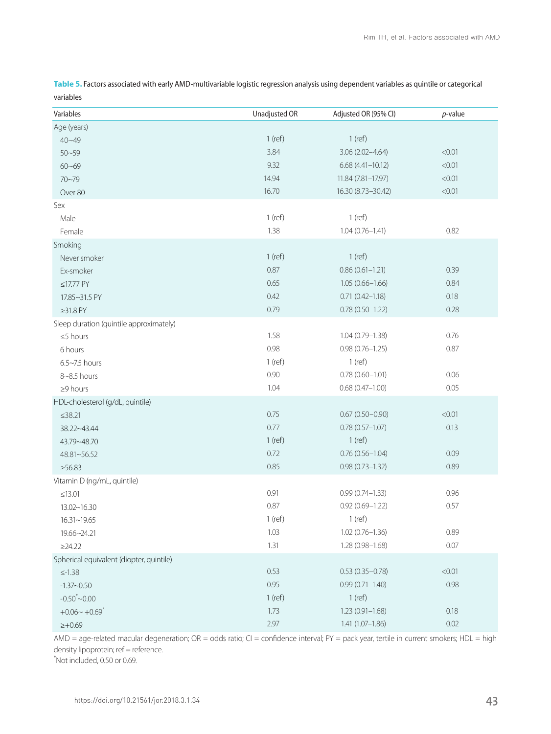**Table 5.** Factors associated with early AMD-multivariable logistic regression analysis using dependent variables as quintile or categorical variables

| Variables                                | Unadjusted OR | Adjusted OR (95% CI) | $p$ -value |
|------------------------------------------|---------------|----------------------|------------|
| Age (years)                              |               |                      |            |
| $40 - 49$                                | $1$ (ref)     | $1$ (ref)            |            |
| $50 - 59$                                | 3.84          | $3.06(2.02 - 4.64)$  | < 0.01     |
| $60 - 69$                                | 9.32          | $6.68(4.41 - 10.12)$ | < 0.01     |
| $70 - 79$                                | 14.94         | 11.84 (7.81-17.97)   | < 0.01     |
| Over 80                                  | 16.70         | 16.30 (8.73-30.42)   | < 0.01     |
| Sex                                      |               |                      |            |
| Male                                     | $1$ (ref)     | $1$ (ref)            |            |
| Female                                   | 1.38          | $1.04(0.76 - 1.41)$  | 0.82       |
| Smoking                                  |               |                      |            |
| Never smoker                             | $1$ (ref)     | $1$ (ref)            |            |
| Ex-smoker                                | 0.87          | $0.86(0.61 - 1.21)$  | 0.39       |
| $≤17.77$ PY                              | 0.65          | $1.05(0.66 - 1.66)$  | 0.84       |
| 17.85~31.5 PY                            | 0.42          | $0.71(0.42 - 1.18)$  | 0.18       |
| $\geq$ 31.8 PY                           | 0.79          | $0.78(0.50 - 1.22)$  | 0.28       |
| Sleep duration (quintile approximately)  |               |                      |            |
| $\leq$ 5 hours                           | 1.58          | $1.04(0.79 - 1.38)$  | 0.76       |
| 6 hours                                  | 0.98          | $0.98(0.76 - 1.25)$  | 0.87       |
| $6.5\neg 7.5$ hours                      | $1$ (ref)     | $1$ (ref)            |            |
| 8~8.5 hours                              | 0.90          | $0.78(0.60 - 1.01)$  | 0.06       |
| $\geq$ 9 hours                           | 1.04          | $0.68(0.47-1.00)$    | 0.05       |
| HDL-cholesterol (g/dL, quintile)         |               |                      |            |
| $≤38.21$                                 | 0.75          | $0.67(0.50 - 0.90)$  | < 0.01     |
| 38.22~43.44                              | 0.77          | $0.78(0.57 - 1.07)$  | 0.13       |
| 43.79~48.70                              | $1$ (ref)     | $1$ (ref)            |            |
| 48.81~56.52                              | 0.72          | $0.76(0.56 - 1.04)$  | 0.09       |
| $\geq 56.83$                             | 0.85          | $0.98(0.73 - 1.32)$  | 0.89       |
| Vitamin D (ng/mL, quintile)              |               |                      |            |
| $≤13.01$                                 | 0.91          | $0.99(0.74 - 1.33)$  | 0.96       |
| 13.02~16.30                              | 0.87          | $0.92(0.69 - 1.22)$  | 0.57       |
| 16.31~19.65                              | $1$ (ref)     | 1 (ref)              |            |
| 19.66~24.21                              | 1.03          | $1.02(0.76 - 1.36)$  | 0.89       |
| $\geq$ 24.22                             | 1.31          | $1.28(0.98 - 1.68)$  | 0.07       |
| Spherical equivalent (diopter, quintile) |               |                      |            |
| $\le -1.38$                              | 0.53          | $0.53(0.35 - 0.78)$  | < 0.01     |
| $-1.37 - 0.50$                           | 0.95          | $0.99(0.71 - 1.40)$  | 0.98       |
| $-0.50^{\ast}$ ~0.00                     | $1$ (ref)     | $1$ (ref)            |            |
| $+0.06 - +0.69$ <sup>*</sup>             | 1.73          | $1.23(0.91 - 1.68)$  | 0.18       |
| $\ge +0.69$                              | 2.97          | $1.41(1.07-1.86)$    | 0.02       |

 $AMD = age-related macular degeneration; OR = odds ratio; CI = confidence interval; PY = pack year, tertile in current smokers; HDL = high$ density lipoprotein; ref = reference.

\* Not included, 0.50 or 0.69.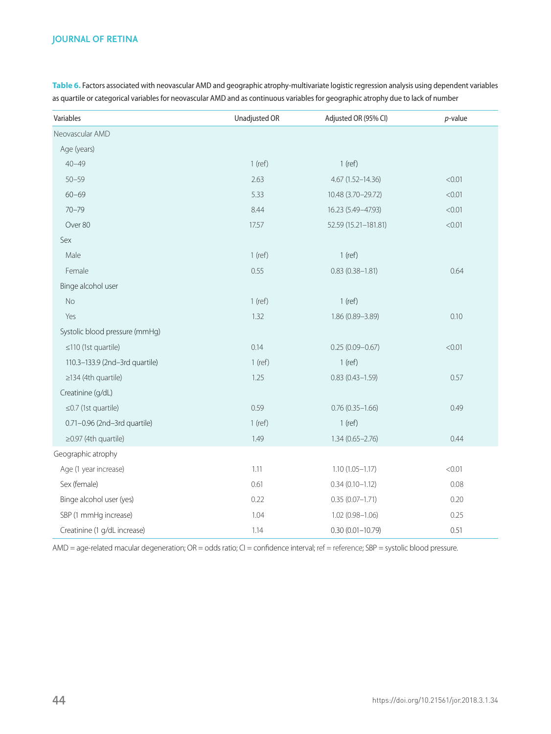### **JOURNAL OF RETINA**

| Variables                      | Unadjusted OR | Adjusted OR (95% CI) | $p$ -value |
|--------------------------------|---------------|----------------------|------------|
| Neovascular AMD                |               |                      |            |
| Age (years)                    |               |                      |            |
| $40 - 49$                      | $1$ (ref)     | $1$ (ref)            |            |
| $50 - 59$                      | 2.63          | 4.67 (1.52-14.36)    | < 0.01     |
| $60 - 69$                      | 5.33          | 10.48 (3.70-29.72)   | < 0.01     |
| $70 - 79$                      | 8.44          | 16.23 (5.49-47.93)   | < 0.01     |
| Over 80                        | 17.57         | 52.59 (15.21-181.81) | < 0.01     |
| Sex                            |               |                      |            |
| Male                           | $1$ (ref)     | $1$ (ref)            |            |
| Female                         | 0.55          | $0.83(0.38 - 1.81)$  | 0.64       |
| Binge alcohol user             |               |                      |            |
| No                             | $1$ (ref)     | $1$ (ref)            |            |
| Yes                            | 1.32          | 1.86 (0.89-3.89)     | 0.10       |
| Systolic blood pressure (mmHg) |               |                      |            |
| $\leq$ 110 (1st quartile)      | 0.14          | $0.25(0.09 - 0.67)$  | < 0.01     |
| 110.3-133.9 (2nd-3rd quartile) | $1$ (ref)     | $1$ (ref)            |            |
| $\geq$ 134 (4th quartile)      | 1.25          | $0.83(0.43 - 1.59)$  | 0.57       |
| Creatinine (g/dL)              |               |                      |            |
| $\leq$ 0.7 (1st quartile)      | 0.59          | $0.76(0.35 - 1.66)$  | 0.49       |
| 0.71-0.96 (2nd-3rd quartile)   | $1$ (ref)     | $1$ (ref)            |            |
| $\geq$ 0.97 (4th quartile)     | 1.49          | $1.34(0.65 - 2.76)$  | 0.44       |
| Geographic atrophy             |               |                      |            |
| Age (1 year increase)          | 1.11          | $1.10(1.05 - 1.17)$  | < 0.01     |
| Sex (female)                   | 0.61          | $0.34(0.10 - 1.12)$  | 0.08       |
| Binge alcohol user (yes)       | 0.22          | $0.35(0.07-1.71)$    | 0.20       |
| SBP (1 mmHg increase)          | 1.04          | $1.02(0.98 - 1.06)$  | 0.25       |
| Creatinine (1 g/dL increase)   | 1.14          | $0.30(0.01 - 10.79)$ | 0.51       |

 **Table 6.** Factors associated with neovascular AMD and geographic atrophy-multivariate logistic regression analysis using dependent variables as quartile or categorical variables for neovascular AMD and as continuous variables for geographic atrophy due to lack of number

AMD = age-related macular degeneration; OR = odds ratio; CI = confidence interval; ref = reference; SBP = systolic blood pressure.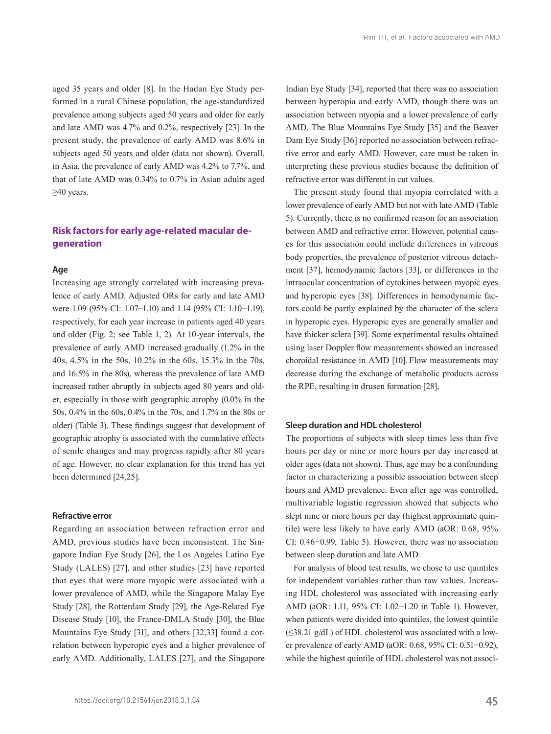aged 35 years and older [8]. In the Hadan Eye Study performed in a rural Chinese population, the age-standardized prevalence among subjects aged 50 years and older for early and late AMD was 4.7% and 0.2%, respectively [23]. In the present study, the prevalence of early AMD was 8.6% in subjects aged 50 years and older (data not shown). Overall, in Asia, the prevalence of early AMD was 4.2% to 7.7%, and that of late AMD was 0.34% to 0.7% in Asian adults aged ≥40 years.

### **Risk factors for early age-related macular degeneration**

#### **Age**

Increasing age strongly correlated with increasing prevalence of early AMD. Adjusted ORs for early and late AMD were 1.09 (95% CI: 1.07−1.10) and 1.14 (95% CI: 1.10−1.19), respectively, for each year increase in patients aged 40 years and older (Fig. 2; see Table 1, 2). At 10-year intervals, the prevalence of early AMD increased gradually (1.2% in the 40s, 4.5% in the 50s, 10.2% in the 60s, 15.3% in the 70s, and 16.5% in the 80s), whereas the prevalence of late AMD increased rather abruptly in subjects aged 80 years and older, especially in those with geographic atrophy (0.0% in the 50s, 0.4% in the 60s, 0.4% in the 70s, and 1.7% in the 80s or older) (Table 3). These findings suggest that development of geographic atrophy is associated with the cumulative effects of senile changes and may progress rapidly after 80 years of age. However, no clear explanation for this trend has yet been determined [24,25].

#### **Refractive error**

Regarding an association between refraction error and AMD, previous studies have been inconsistent. The Singapore Indian Eye Study [26], the Los Angeles Latino Eye Study (LALES) [27], and other studies [23] have reported that eyes that were more myopic were associated with a lower prevalence of AMD, while the Singapore Malay Eye Study [28], the Rotterdam Study [29], the Age-Related Eye Disease Study [10], the France-DMLA Study [30], the Blue Mountains Eye Study [31], and others [32,33] found a correlation between hyperopic eyes and a higher prevalence of early AMD. Additionally, LALES [27], and the Singapore

Indian Eye Study [34], reported that there was no association between hyperopia and early AMD, though there was an association between myopia and a lower prevalence of early AMD. The Blue Mountains Eye Study [35] and the Beaver Dam Eye Study [36] reported no association between refractive error and early AMD. However, care must be taken in interpreting these previous studies because the definition of refractive error was different in cut values.

The present study found that myopia correlated with a lower prevalence of early AMD but not with late AMD (Table 5). Currently, there is no confirmed reason for an association between AMD and refractive error. However, potential causes for this association could include differences in vitreous body properties, the prevalence of posterior vitreous detachment [37], hemodynamic factors [33], or differences in the intraocular concentration of cytokines between myopic eyes and hyperopic eyes [38]. Differences in hemodynamic factors could be partly explained by the character of the sclera in hyperopic eyes. Hyperopic eyes are generally smaller and have thicker sclera [39]. Some experimental results obtained using laser Doppler flow measurements showed an increased choroidal resistance in AMD [10]. Flow measurements may decrease during the exchange of metabolic products across the RPE, resulting in drusen formation [28],

#### **Sleep duration and HDL cholesterol**

The proportions of subjects with sleep times less than five hours per day or nine or more hours per day increased at older ages (data not shown). Thus, age may be a confounding factor in characterizing a possible association between sleep hours and AMD prevalence. Even after age was controlled, multivariable logistic regression showed that subjects who slept nine or more hours per day (highest approximate quintile) were less likely to have early AMD (aOR: 0.68, 95% CI: 0.46−0.99, Table 5). However, there was no association between sleep duration and late AMD.

For analysis of blood test results, we chose to use quintiles for independent variables rather than raw values. Increasing HDL cholesterol was associated with increasing early AMD (aOR: 1.11, 95% CI: 1.02−1.20 in Table 1). However, when patients were divided into quintiles, the lowest quintile (≤38.21 g/dL) of HDL cholesterol was associated with a lower prevalence of early AMD (aOR: 0.68, 95% CI: 0.51−0.92), while the highest quintile of HDL cholesterol was not associ-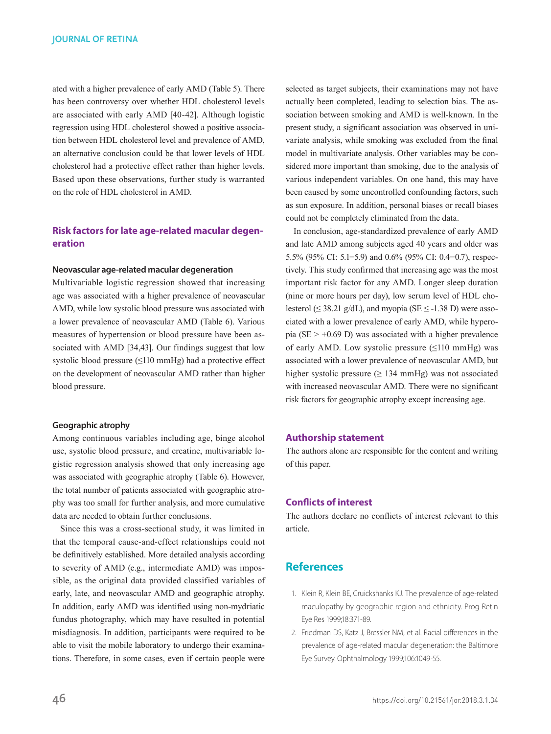ated with a higher prevalence of early AMD (Table 5). There has been controversy over whether HDL cholesterol levels are associated with early AMD [40-42]. Although logistic regression using HDL cholesterol showed a positive association between HDL cholesterol level and prevalence of AMD, an alternative conclusion could be that lower levels of HDL cholesterol had a protective effect rather than higher levels. Based upon these observations, further study is warranted on the role of HDL cholesterol in AMD.

### **Risk factors for late age-related macular degeneration**

#### **Neovascular age-related macular degeneration**

Multivariable logistic regression showed that increasing age was associated with a higher prevalence of neovascular AMD, while low systolic blood pressure was associated with a lower prevalence of neovascular AMD (Table 6). Various measures of hypertension or blood pressure have been associated with AMD [34,43]. Our findings suggest that low systolic blood pressure  $(\leq 110 \text{ mmHg})$  had a protective effect on the development of neovascular AMD rather than higher blood pressure.

#### **Geographic atrophy**

Among continuous variables including age, binge alcohol use, systolic blood pressure, and creatine, multivariable logistic regression analysis showed that only increasing age was associated with geographic atrophy (Table 6). However, the total number of patients associated with geographic atrophy was too small for further analysis, and more cumulative data are needed to obtain further conclusions.

Since this was a cross-sectional study, it was limited in that the temporal cause-and-effect relationships could not be definitively established. More detailed analysis according to severity of AMD (e.g., intermediate AMD) was impossible, as the original data provided classified variables of early, late, and neovascular AMD and geographic atrophy. In addition, early AMD was identified using non-mydriatic fundus photography, which may have resulted in potential misdiagnosis. In addition, participants were required to be able to visit the mobile laboratory to undergo their examinations. Therefore, in some cases, even if certain people were

selected as target subjects, their examinations may not have actually been completed, leading to selection bias. The association between smoking and AMD is well-known. In the present study, a significant association was observed in univariate analysis, while smoking was excluded from the final model in multivariate analysis. Other variables may be considered more important than smoking, due to the analysis of various independent variables. On one hand, this may have been caused by some uncontrolled confounding factors, such as sun exposure. In addition, personal biases or recall biases could not be completely eliminated from the data.

In conclusion, age-standardized prevalence of early AMD and late AMD among subjects aged 40 years and older was 5.5% (95% CI: 5.1−5.9) and 0.6% (95% CI: 0.4−0.7), respectively. This study confirmed that increasing age was the most important risk factor for any AMD. Longer sleep duration (nine or more hours per day), low serum level of HDL cholesterol ( $\leq$  38.21 g/dL), and myopia (SE  $\leq$  -1.38 D) were associated with a lower prevalence of early AMD, while hyperopia ( $SE$  > +0.69 D) was associated with a higher prevalence of early AMD. Low systolic pressure  $(\leq 110 \text{ mmHg})$  was associated with a lower prevalence of neovascular AMD, but higher systolic pressure  $(≥ 134 \text{ mmHg})$  was not associated with increased neovascular AMD. There were no significant risk factors for geographic atrophy except increasing age.

#### **Authorship statement**

The authors alone are responsible for the content and writing of this paper.

#### **Conflicts of interest**

The authors declare no conflicts of interest relevant to this article.

### **References**

- 1. Klein R, Klein BE, Cruickshanks KJ. The prevalence of age-related maculopathy by geographic region and ethnicity. Prog Retin Eye Res 1999;18:371-89.
- 2. Friedman DS, Katz J, Bressler NM, et al. Racial differences in the prevalence of age-related macular degeneration: the Baltimore Eye Survey. Ophthalmology 1999;106:1049-55.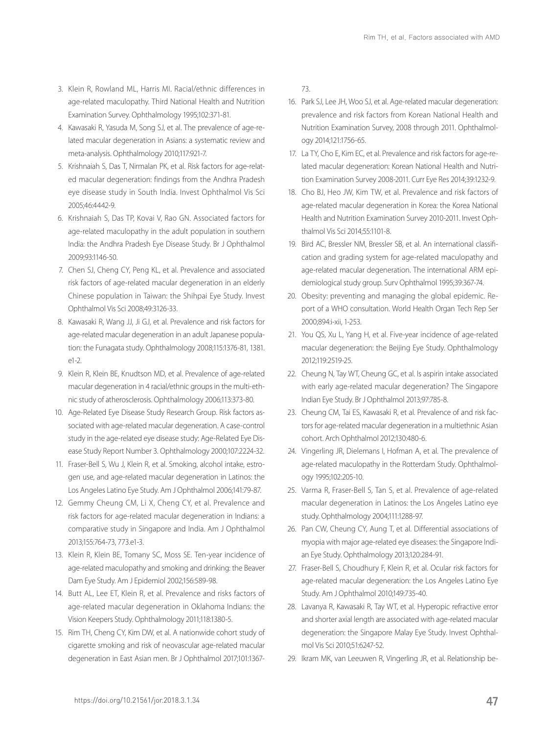- 3. Klein R, Rowland ML, Harris MI. Racial/ethnic differences in age-related maculopathy. Third National Health and Nutrition Examination Survey. Ophthalmology 1995;102:371-81.
- 4. Kawasaki R, Yasuda M, Song SJ, et al. The prevalence of age-related macular degeneration in Asians: a systematic review and meta-analysis. Ophthalmology 2010;117:921-7.
- 5. Krishnaiah S, Das T, Nirmalan PK, et al. Risk factors for age-related macular degeneration: findings from the Andhra Pradesh eye disease study in South India. Invest Ophthalmol Vis Sci 2005;46:4442-9.
- 6. Krishnaiah S, Das TP, Kovai V, Rao GN. Associated factors for age-related maculopathy in the adult population in southern India: the Andhra Pradesh Eye Disease Study. Br J Ophthalmol 2009;93:1146-50.
- 7. Chen SJ, Cheng CY, Peng KL, et al. Prevalence and associated risk factors of age-related macular degeneration in an elderly Chinese population in Taiwan: the Shihpai Eye Study. Invest Ophthalmol Vis Sci 2008;49:3126-33.
- 8. Kawasaki R, Wang JJ, Ji GJ, et al. Prevalence and risk factors for age-related macular degeneration in an adult Japanese population: the Funagata study. Ophthalmology 2008;115:1376-81, 1381. e1-2.
- 9. Klein R, Klein BE, Knudtson MD, et al. Prevalence of age-related macular degeneration in 4 racial/ethnic groups in the multi-ethnic study of atherosclerosis. Ophthalmology 2006;113:373-80.
- 10. Age-Related Eye Disease Study Research Group. Risk factors associated with age-related macular degeneration. A case-control study in the age-related eye disease study: Age-Related Eye Disease Study Report Number 3. Ophthalmology 2000;107:2224-32.
- 11. Fraser-Bell S, Wu J, Klein R, et al. Smoking, alcohol intake, estrogen use, and age-related macular degeneration in Latinos: the Los Angeles Latino Eye Study. Am J Ophthalmol 2006;141:79-87.
- 12. Gemmy Cheung CM, Li X, Cheng CY, et al. Prevalence and risk factors for age-related macular degeneration in Indians: a comparative study in Singapore and India. Am J Ophthalmol 2013;155:764-73, 773.e1-3.
- 13. Klein R, Klein BE, Tomany SC, Moss SE. Ten-year incidence of age-related maculopathy and smoking and drinking: the Beaver Dam Eye Study. Am J Epidemiol 2002;156:589-98.
- 14. Butt AL, Lee ET, Klein R, et al. Prevalence and risks factors of age-related macular degeneration in Oklahoma Indians: the Vision Keepers Study. Ophthalmology 2011;118:1380-5.
- 15. Rim TH, Cheng CY, Kim DW, et al. A nationwide cohort study of cigarette smoking and risk of neovascular age-related macular degeneration in East Asian men. Br J Ophthalmol 2017;101:1367-

73.

- 16. Park SJ, Lee JH, Woo SJ, et al. Age-related macular degeneration: prevalence and risk factors from Korean National Health and Nutrition Examination Survey, 2008 through 2011. Ophthalmology 2014;121:1756-65.
- 17. La TY, Cho E, Kim EC, et al. Prevalence and risk factors for age-related macular degeneration: Korean National Health and Nutrition Examination Survey 2008-2011. Curr Eye Res 2014;39:1232-9.
- 18. Cho BJ, Heo JW, Kim TW, et al. Prevalence and risk factors of age-related macular degeneration in Korea: the Korea National Health and Nutrition Examination Survey 2010-2011. Invest Ophthalmol Vis Sci 2014;55:1101-8.
- 19. Bird AC, Bressler NM, Bressler SB, et al. An international classification and grading system for age-related maculopathy and age-related macular degeneration. The international ARM epidemiological study group. Surv Ophthalmol 1995;39:367-74.
- 20. Obesity: preventing and managing the global epidemic. Report of a WHO consultation. World Health Organ Tech Rep Ser 2000;894:i-xii, 1-253.
- 21. You QS, Xu L, Yang H, et al. Five-year incidence of age-related macular degeneration: the Beijing Eye Study. Ophthalmology 2012;119:2519-25.
- 22. Cheung N, Tay WT, Cheung GC, et al. Is aspirin intake associated with early age-related macular degeneration? The Singapore Indian Eye Study. Br J Ophthalmol 2013;97:785-8.
- 23. Cheung CM, Tai ES, Kawasaki R, et al. Prevalence of and risk factors for age-related macular degeneration in a multiethnic Asian cohort. Arch Ophthalmol 2012;130:480-6.
- 24. Vingerling JR, Dielemans I, Hofman A, et al. The prevalence of age-related maculopathy in the Rotterdam Study. Ophthalmology 1995;102:205-10.
- 25. Varma R, Fraser-Bell S, Tan S, et al. Prevalence of age-related macular degeneration in Latinos: the Los Angeles Latino eye study. Ophthalmology 2004;111:1288-97.
- 26. Pan CW, Cheung CY, Aung T, et al. Differential associations of myopia with major age-related eye diseases: the Singapore Indian Eye Study. Ophthalmology 2013;120:284-91.
- 27. Fraser-Bell S, Choudhury F, Klein R, et al. Ocular risk factors for age-related macular degeneration: the Los Angeles Latino Eye Study. Am J Ophthalmol 2010;149:735-40.
- 28. Lavanya R, Kawasaki R, Tay WT, et al. Hyperopic refractive error and shorter axial length are associated with age-related macular degeneration: the Singapore Malay Eye Study. Invest Ophthalmol Vis Sci 2010;51:6247-52.
- 29. Ikram MK, van Leeuwen R, Vingerling JR, et al. Relationship be-